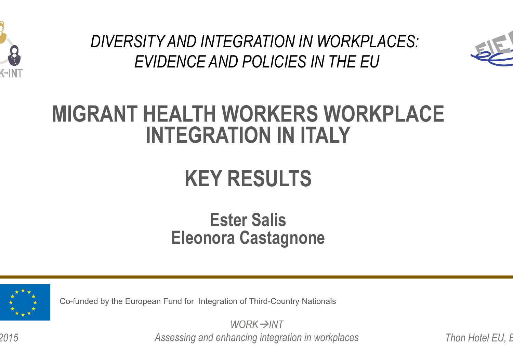

*DIVERSITY AND INTEGRATION IN WORKPLACES: EVIDENCE AND POLICIES IN THE EU* 



### **MIGRANT HEALTH WORKERS WORKPLACE INTEGRATION IN ITALY**

## **KEY RESULTS**

### **Ester Salis Eleonora Castagnone**



*9 June 2015* 

Co-funded by the European Fund for Integration of Third-Country Nationals

*WORK→INT* Assessing and enhancing integration in workplaces Thon Hotel EU, E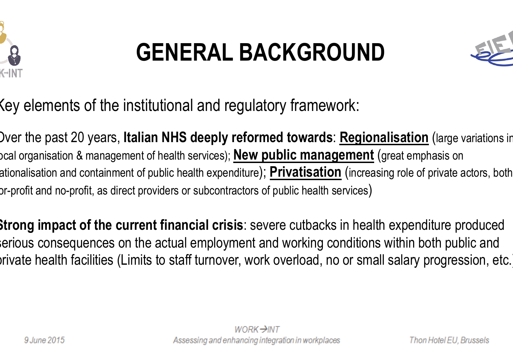

## **GENERAL BACKGROUND**



Key elements of the institutional and regulatory framework:

Over the past 20 years, **Italian NHS deeply reformed towards**: **Regionalisation** (large variations in local organisation & management of health services); **New public management** (great emphasis on ationalisation and containment of public health expenditure); <code><u>Privatisation</code> (increasing role of private actors, both</code></u>  $\alpha$ r-profit and no-profit, as direct providers or subcontractors of public health services)

**Strong impact of the current financial crisis**: severe cutbacks in health expenditure produced serious consequences on the actual employment and working conditions within both public and private health facilities (Limits to staff turnover, work overload, no or small salary progression, etc.)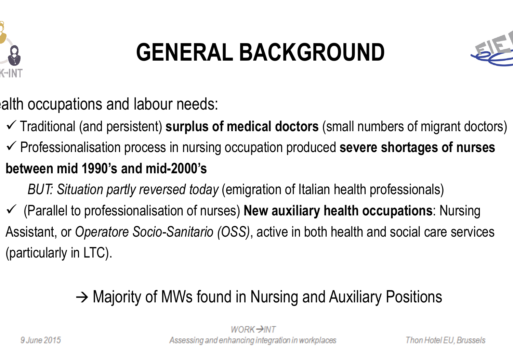

## **GENERAL BACKGROUND**



alth occupations and labour needs:

- $\checkmark$  Traditional (and persistent) **surplus of medical doctors** (small numbers of migrant doctors)
- ü Professionalisation process in nursing occupation produced **severe shortages of nurses between mid 1990's and mid-2000's**
	- *BUT: Situation partly reversed today* (emigration of Italian health professionals)
- ü (Parallel to professionalisation of nurses) **New auxiliary health occupations**: Nursing Assistant, or *Operatore Socio-Sanitario (OSS)*, active in both health and social care services (particularly in LTC).

### $\rightarrow$  Majority of MWs found in Nursing and Auxiliary Positions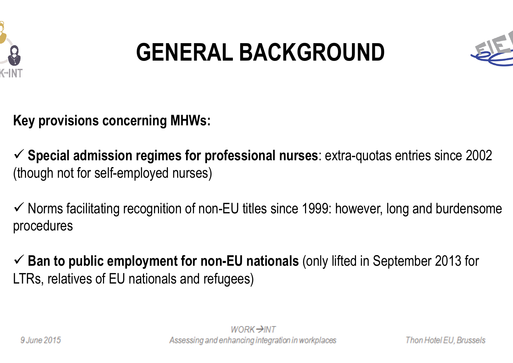

## **GENERAL BACKGROUND**



**Key provisions concerning MHWs:** 

ü **Special admission regimes for professional nurses**: extra-quotas entries since 2002 (though not for self-employed nurses)

 $\checkmark$  Norms facilitating recognition of non-EU titles since 1999: however, long and burdensome procedures

ü **Ban to public employment for non-EU nationals** (only lifted in September 2013 for LTRs, relatives of EU nationals and refugees)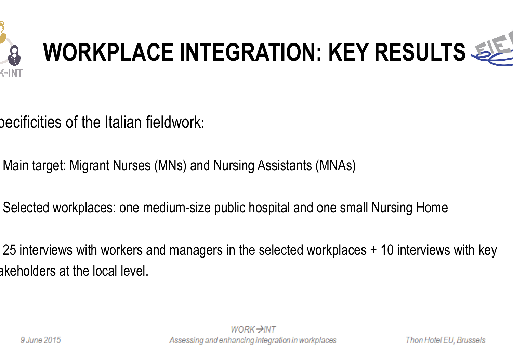

# **WORKPLACE INTEGRATION: KEY RESULTS**

- becificities of the Italian fieldwork:
- Main target: Migrant Nurses (MNs) and Nursing Assistants (MNAs)
- Selected workplaces: one medium-size public hospital and one small Nursing Home
- 25 interviews with workers and managers in the selected workplaces + 10 interviews with key akeholders at the local level.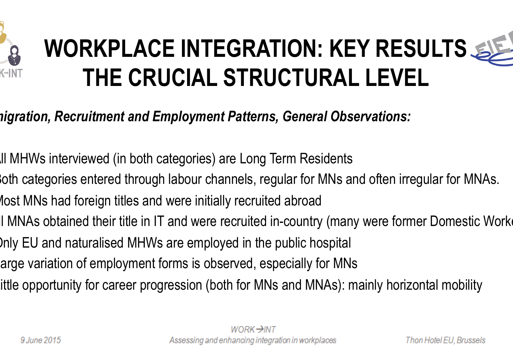

## **WORKPLACE INTEGRATION: KEY RESULTS THE CRUCIAL STRUCTURAL LEVEL**

#### *Immigration, Recruitment and Employment Patterns, General Observations:*

- ü All MHWs interviewed (in both categories) are Long Term Residents
- oth categories entered through labour channels, regular for MNs and often irregular for MNAs.
- lost MNs had foreign titles and were initially recruited abroad
- Il MNAs obtained their title in IT and were recruited in-country (many were former Domestic Worke
- Inly EU and naturalised MHWs are employed in the public hospital
- arge variation of employment forms is observed, especially for MNs
- ittle opportunity for career progression (both for MNs and MNAs): mainly horizontal mobility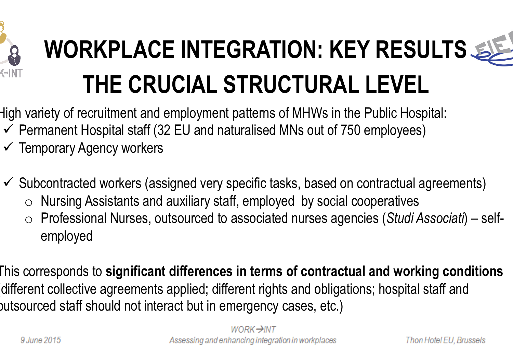

## WORKPLACE INTEGRATION: KEY RESULTS **THE CRUCIAL STRUCTURAL LEVEL**

- High variety of recruitment and employment patterns of MHWs in the Public Hospital:
- $\checkmark$  Permanent Hospital staff (32 EU and naturalised MNs out of 750 employees)
- $\checkmark$  Temporary Agency workers
- $\checkmark$  Subcontracted workers (assigned very specific tasks, based on contractual agreements)
	- $\circ$  Nursing Assistants and auxiliary staff, employed by social cooperatives
	- o Professional Nurses, outsourced to associated nurses agencies (*Studi Associati*) selfemployed
- This corresponds to **significant differences in terms of contractual and working conditions** (different collective agreements applied; different rights and obligations; hospital staff and outsourced staff should not interact but in emergency cases, etc.)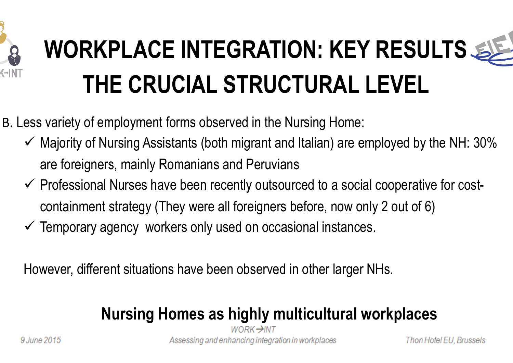

## **WORKPLACE INTEGRATION: KEY RESULTS THE CRUCIAL STRUCTURAL LEVEL**

B. Less variety of employment forms observed in the Nursing Home:

- $\checkmark$  Majority of Nursing Assistants (both migrant and Italian) are employed by the NH: 30% are foreigners, mainly Romanians and Peruvians
- $\checkmark$  Professional Nurses have been recently outsourced to a social cooperative for costcontainment strategy (They were all foreigners before, now only 2 out of 6)
- $\checkmark$  Temporary agency workers only used on occasional instances.

However, different situations have been observed in other larger NHs.

### **Nursing Homes as highly multicultural workplaces**

WORK→INT Assessing and enhancing integration in workplaces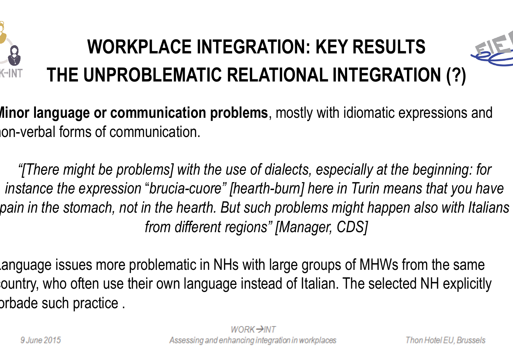

## **WORKPLACE INTEGRATION: KEY RESULTS THE UNPROBLEMATIC RELATIONAL INTEGRATION (?)**



**Minor language or communication problems**, mostly with idiomatic expressions and non-verbal forms of communication.

*"[There might be problems] with the use of dialects, especially at the beginning: for instance the expression* "*brucia-cuore" [hearth-burn] here in Turin means that you have pain in the stomach, not in the hearth. But such problems might happen also with Italians from different regions" [Manager, CDS]* 

anguage issues more problematic in NHs with large groups of MHWs from the same country, who often use their own language instead of Italian. The selected NH explicitly orbade such practice.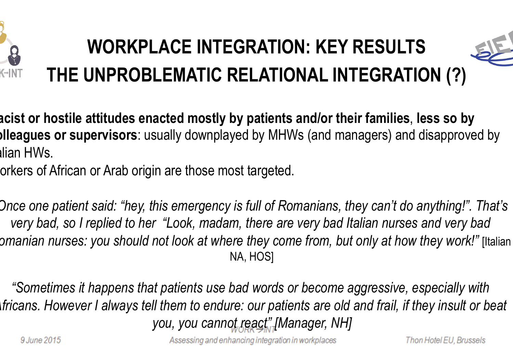

## **WORKPLACE INTEGRATION: KEY RESULTS THE UNPROBLEMATIC RELATIONAL INTEGRATION (?)**



orkers of African or Arab origin are those most targeted.

*"Once one patient said: "hey, this emergency is full of Romanians, they can't do anything!". That's very bad, so I replied to her "Look, madam, there are very bad Italian nurses and very bad Romanian nurses: you should not look at where they come from, but only at how they work!"* [Italian NA, HOS]

*"Sometimes it happens that patients use bad words or become aggressive, especially with Africans. However I always tell them to endure: our patients are old and frail, if they insult or beat you, you cannot react" [Manager, NH]*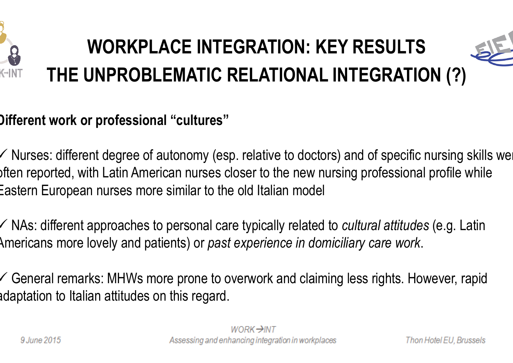

## **WORKPLACE INTEGRATION: KEY RESULTS THE UNPROBLEMATIC RELATIONAL INTEGRATION (?)**



#### **Different work or professional "cultures"**

 $\checkmark$  Nurses: different degree of autonomy (esp. relative to doctors) and of specific nursing skills we often reported, with Latin American nurses closer to the new nursing professional profile while Eastern European nurses more similar to the old Italian model

ü NAs: different approaches to personal care typically related to *cultural attitudes* (e.g. Latin Americans more lovely and patients) or *past experience in domiciliary care work*.

 $\checkmark$  General remarks: MHWs more prone to overwork and claiming less rights. However, rapid adaptation to Italian attitudes on this regard.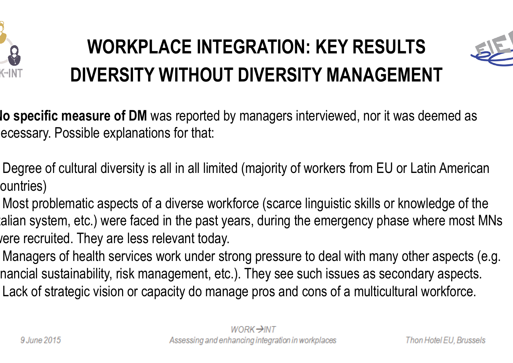

### **WORKPLACE INTEGRATION: KEY RESULTS DIVERSITY WITHOUT DIVERSITY MANAGEMENT**



**No specific measure of DM** was reported by managers interviewed, nor it was deemed as ecessary. Possible explanations for that:

• Degree of cultural diversity is all in all limited (majority of workers from EU or Latin American ountries)

• Most problematic aspects of a diverse workforce (scarce linguistic skills or knowledge of the alian system, etc.) were faced in the past years, during the emergency phase where most MNs vere recruited. They are less relevant today.

Managers of health services work under strong pressure to deal with many other aspects (e.g. nancial sustainability, risk management, etc.). They see such issues as secondary aspects. Lack of strategic vision or capacity do manage pros and cons of a multicultural workforce.